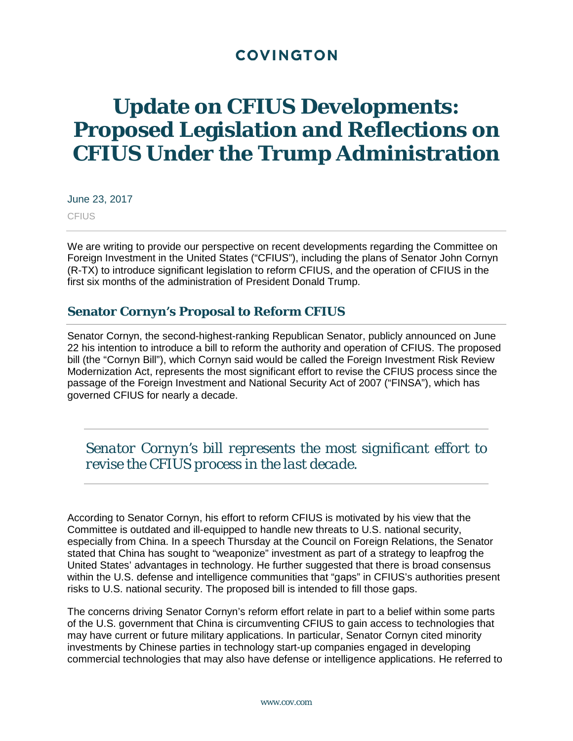# **COVINGTON**

# **Update on CFIUS Developments: Proposed Legislation and Reflections on CFIUS Under the Trump Administration**

June 23, 2017 **CFIUS** 

We are writing to provide our perspective on recent developments regarding the Committee on Foreign Investment in the United States ("CFIUS"), including the plans of Senator John Cornyn (R-TX) to introduce significant legislation to reform CFIUS, and the operation of CFIUS in the first six months of the administration of President Donald Trump.

### **Senator Cornyn's Proposal to Reform CFIUS**

Senator Cornyn, the second-highest-ranking Republican Senator, publicly announced on June 22 his intention to introduce a bill to reform the authority and operation of CFIUS. The proposed bill (the "Cornyn Bill"), which Cornyn said would be called the Foreign Investment Risk Review Modernization Act, represents the most significant effort to revise the CFIUS process since the passage of the Foreign Investment and National Security Act of 2007 ("FINSA"), which has governed CFIUS for nearly a decade.

*Senator Cornyn's bill represents the most significant effort to revise the CFIUS process in the last decade.* 

According to Senator Cornyn, his effort to reform CFIUS is motivated by his view that the Committee is outdated and ill-equipped to handle new threats to U.S. national security, especially from China. In a speech Thursday at the Council on Foreign Relations, the Senator stated that China has sought to "weaponize" investment as part of a strategy to leapfrog the United States' advantages in technology. He further suggested that there is broad consensus within the U.S. defense and intelligence communities that "gaps" in CFIUS's authorities present risks to U.S. national security. The proposed bill is intended to fill those gaps.

The concerns driving Senator Cornyn's reform effort relate in part to a belief within some parts of the U.S. government that China is circumventing CFIUS to gain access to technologies that may have current or future military applications. In particular, Senator Cornyn cited minority investments by Chinese parties in technology start-up companies engaged in developing commercial technologies that may also have defense or intelligence applications. He referred to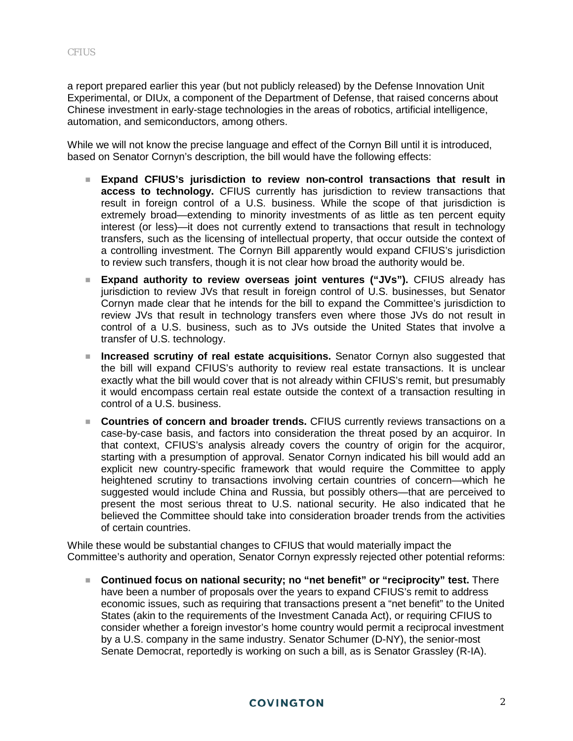a report prepared earlier this year (but not publicly released) by the Defense Innovation Unit Experimental, or DIUx, a component of the Department of Defense, that raised concerns about Chinese investment in early-stage technologies in the areas of robotics, artificial intelligence, automation, and semiconductors, among others.

While we will not know the precise language and effect of the Cornyn Bill until it is introduced, based on Senator Cornyn's description, the bill would have the following effects:

- **Expand CFIUS's jurisdiction to review non-control transactions that result in access to technology.** CFIUS currently has jurisdiction to review transactions that result in foreign control of a U.S. business. While the scope of that jurisdiction is extremely broad—extending to minority investments of as little as ten percent equity interest (or less)—it does not currently extend to transactions that result in technology transfers, such as the licensing of intellectual property, that occur outside the context of a controlling investment. The Cornyn Bill apparently would expand CFIUS's jurisdiction to review such transfers, though it is not clear how broad the authority would be.
- **Expand authority to review overseas joint ventures ("JVs").** CFIUS already has jurisdiction to review JVs that result in foreign control of U.S. businesses, but Senator Cornyn made clear that he intends for the bill to expand the Committee's jurisdiction to review JVs that result in technology transfers even where those JVs do not result in control of a U.S. business, such as to JVs outside the United States that involve a transfer of U.S. technology.
- **Increased scrutiny of real estate acquisitions.** Senator Cornyn also suggested that the bill will expand CFIUS's authority to review real estate transactions. It is unclear exactly what the bill would cover that is not already within CFIUS's remit, but presumably it would encompass certain real estate outside the context of a transaction resulting in control of a U.S. business.
- **Countries of concern and broader trends.** CFIUS currently reviews transactions on a case-by-case basis, and factors into consideration the threat posed by an acquiror. In that context, CFIUS's analysis already covers the country of origin for the acquiror, starting with a presumption of approval. Senator Cornyn indicated his bill would add an explicit new country-specific framework that would require the Committee to apply heightened scrutiny to transactions involving certain countries of concern—which he suggested would include China and Russia, but possibly others—that are perceived to present the most serious threat to U.S. national security. He also indicated that he believed the Committee should take into consideration broader trends from the activities of certain countries.

While these would be substantial changes to CFIUS that would materially impact the Committee's authority and operation, Senator Cornyn expressly rejected other potential reforms:

 **Continued focus on national security; no "net benefit" or "reciprocity" test.** There have been a number of proposals over the years to expand CFIUS's remit to address economic issues, such as requiring that transactions present a "net benefit" to the United States (akin to the requirements of the Investment Canada Act), or requiring CFIUS to consider whether a foreign investor's home country would permit a reciprocal investment by a U.S. company in the same industry. Senator Schumer (D-NY), the senior-most Senate Democrat, reportedly is working on such a bill, as is Senator Grassley (R-IA).

#### **COVINGTON**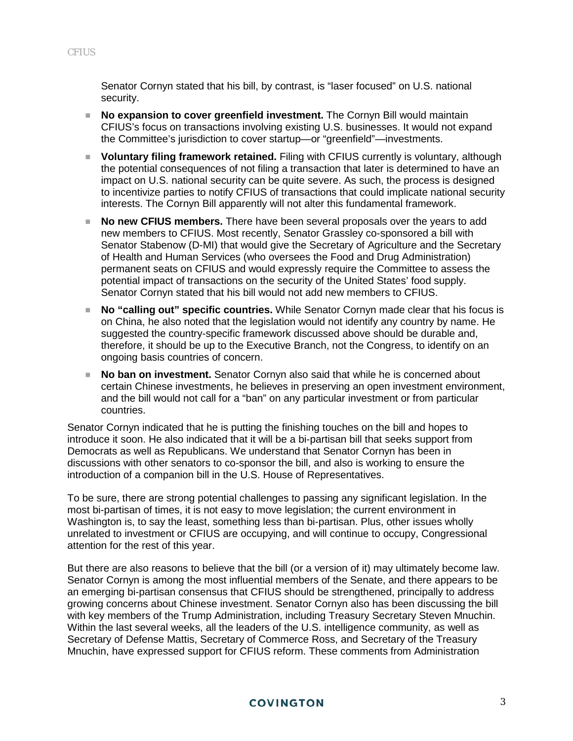Senator Cornyn stated that his bill, by contrast, is "laser focused" on U.S. national security.

- **No expansion to cover greenfield investment.** The Cornyn Bill would maintain CFIUS's focus on transactions involving existing U.S. businesses. It would not expand the Committee's jurisdiction to cover startup—or "greenfield"—investments.
- **Voluntary filing framework retained.** Filing with CFIUS currently is voluntary, although the potential consequences of not filing a transaction that later is determined to have an impact on U.S. national security can be quite severe. As such, the process is designed to incentivize parties to notify CFIUS of transactions that could implicate national security interests. The Cornyn Bill apparently will not alter this fundamental framework.
- **No new CFIUS members.** There have been several proposals over the years to add new members to CFIUS. Most recently, Senator Grassley co-sponsored a bill with Senator Stabenow (D-MI) that would give the Secretary of Agriculture and the Secretary of Health and Human Services (who oversees the Food and Drug Administration) permanent seats on CFIUS and would expressly require the Committee to assess the potential impact of transactions on the security of the United States' food supply. Senator Cornyn stated that his bill would not add new members to CFIUS.
- **No "calling out" specific countries.** While Senator Cornyn made clear that his focus is on China, he also noted that the legislation would not identify any country by name. He suggested the country-specific framework discussed above should be durable and, therefore, it should be up to the Executive Branch, not the Congress, to identify on an ongoing basis countries of concern.
- **No ban on investment.** Senator Cornyn also said that while he is concerned about certain Chinese investments, he believes in preserving an open investment environment, and the bill would not call for a "ban" on any particular investment or from particular countries.

Senator Cornyn indicated that he is putting the finishing touches on the bill and hopes to introduce it soon. He also indicated that it will be a bi-partisan bill that seeks support from Democrats as well as Republicans. We understand that Senator Cornyn has been in discussions with other senators to co-sponsor the bill, and also is working to ensure the introduction of a companion bill in the U.S. House of Representatives.

To be sure, there are strong potential challenges to passing any significant legislation. In the most bi-partisan of times, it is not easy to move legislation; the current environment in Washington is, to say the least, something less than bi-partisan. Plus, other issues wholly unrelated to investment or CFIUS are occupying, and will continue to occupy, Congressional attention for the rest of this year.

But there are also reasons to believe that the bill (or a version of it) may ultimately become law. Senator Cornyn is among the most influential members of the Senate, and there appears to be an emerging bi-partisan consensus that CFIUS should be strengthened, principally to address growing concerns about Chinese investment. Senator Cornyn also has been discussing the bill with key members of the Trump Administration, including Treasury Secretary Steven Mnuchin. Within the last several weeks, all the leaders of the U.S. intelligence community, as well as Secretary of Defense Mattis, Secretary of Commerce Ross, and Secretary of the Treasury Mnuchin, have expressed support for CFIUS reform. These comments from Administration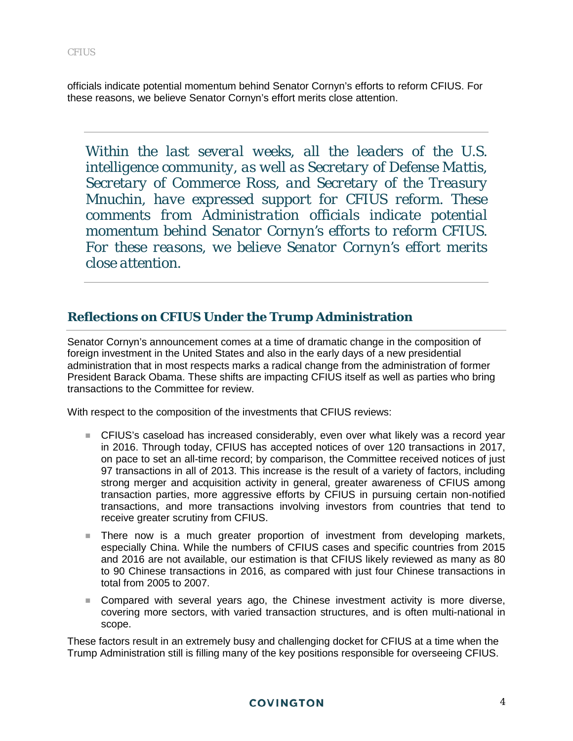officials indicate potential momentum behind Senator Cornyn's efforts to reform CFIUS. For these reasons, we believe Senator Cornyn's effort merits close attention.

*Within the last several weeks, all the leaders of the U.S. intelligence community, as well as Secretary of Defense Mattis, Secretary of Commerce Ross, and Secretary of the Treasury Mnuchin, have expressed support for CFIUS reform. These comments from Administration officials indicate potential momentum behind Senator Cornyn's efforts to reform CFIUS. For these reasons, we believe Senator Cornyn's effort merits close attention.*

## **Reflections on CFIUS Under the Trump Administration**

Senator Cornyn's announcement comes at a time of dramatic change in the composition of foreign investment in the United States and also in the early days of a new presidential administration that in most respects marks a radical change from the administration of former President Barack Obama. These shifts are impacting CFIUS itself as well as parties who bring transactions to the Committee for review.

With respect to the composition of the investments that CFIUS reviews:

- CFIUS's caseload has increased considerably, even over what likely was a record year in 2016. Through today, CFIUS has accepted notices of over 120 transactions in 2017, on pace to set an all-time record; by comparison, the Committee received notices of just 97 transactions in all of 2013. This increase is the result of a variety of factors, including strong merger and acquisition activity in general, greater awareness of CFIUS among transaction parties, more aggressive efforts by CFIUS in pursuing certain non-notified transactions, and more transactions involving investors from countries that tend to receive greater scrutiny from CFIUS.
- **There now is a much greater proportion of investment from developing markets,** especially China. While the numbers of CFIUS cases and specific countries from 2015 and 2016 are not available, our estimation is that CFIUS likely reviewed as many as 80 to 90 Chinese transactions in 2016, as compared with just four Chinese transactions in total from 2005 to 2007.
- Compared with several years ago, the Chinese investment activity is more diverse, covering more sectors, with varied transaction structures, and is often multi-national in scope.

These factors result in an extremely busy and challenging docket for CFIUS at a time when the Trump Administration still is filling many of the key positions responsible for overseeing CFIUS.

#### **COVINGTON**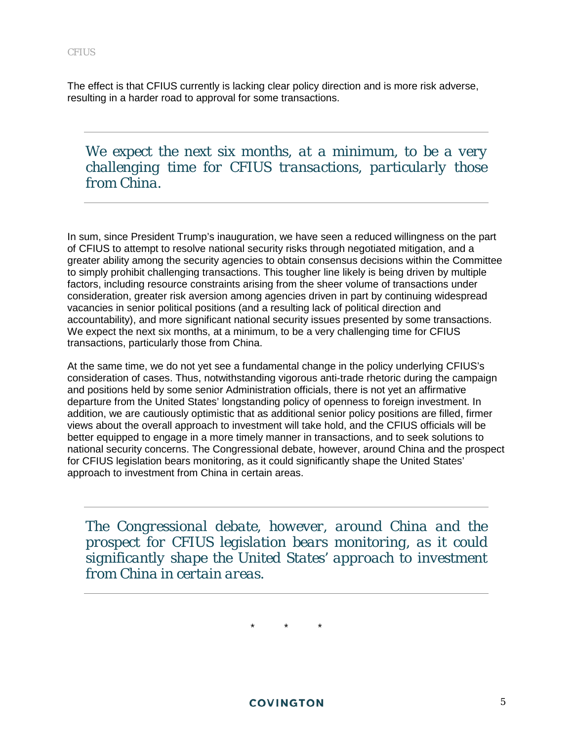The effect is that CFIUS currently is lacking clear policy direction and is more risk adverse, resulting in a harder road to approval for some transactions.

*We expect the next six months, at a minimum, to be a very challenging time for CFIUS transactions, particularly those from China.*

In sum, since President Trump's inauguration, we have seen a reduced willingness on the part of CFIUS to attempt to resolve national security risks through negotiated mitigation, and a greater ability among the security agencies to obtain consensus decisions within the Committee to simply prohibit challenging transactions. This tougher line likely is being driven by multiple factors, including resource constraints arising from the sheer volume of transactions under consideration, greater risk aversion among agencies driven in part by continuing widespread vacancies in senior political positions (and a resulting lack of political direction and accountability), and more significant national security issues presented by some transactions. We expect the next six months, at a minimum, to be a very challenging time for CFIUS transactions, particularly those from China.

At the same time, we do not yet see a fundamental change in the policy underlying CFIUS's consideration of cases. Thus, notwithstanding vigorous anti-trade rhetoric during the campaign and positions held by some senior Administration officials, there is not yet an affirmative departure from the United States' longstanding policy of openness to foreign investment. In addition, we are cautiously optimistic that as additional senior policy positions are filled, firmer views about the overall approach to investment will take hold, and the CFIUS officials will be better equipped to engage in a more timely manner in transactions, and to seek solutions to national security concerns. The Congressional debate, however, around China and the prospect for CFIUS legislation bears monitoring, as it could significantly shape the United States' approach to investment from China in certain areas.

*The Congressional debate, however, around China and the prospect for CFIUS legislation bears monitoring, as it could significantly shape the United States' approach to investment from China in certain areas.*

\* \* \*